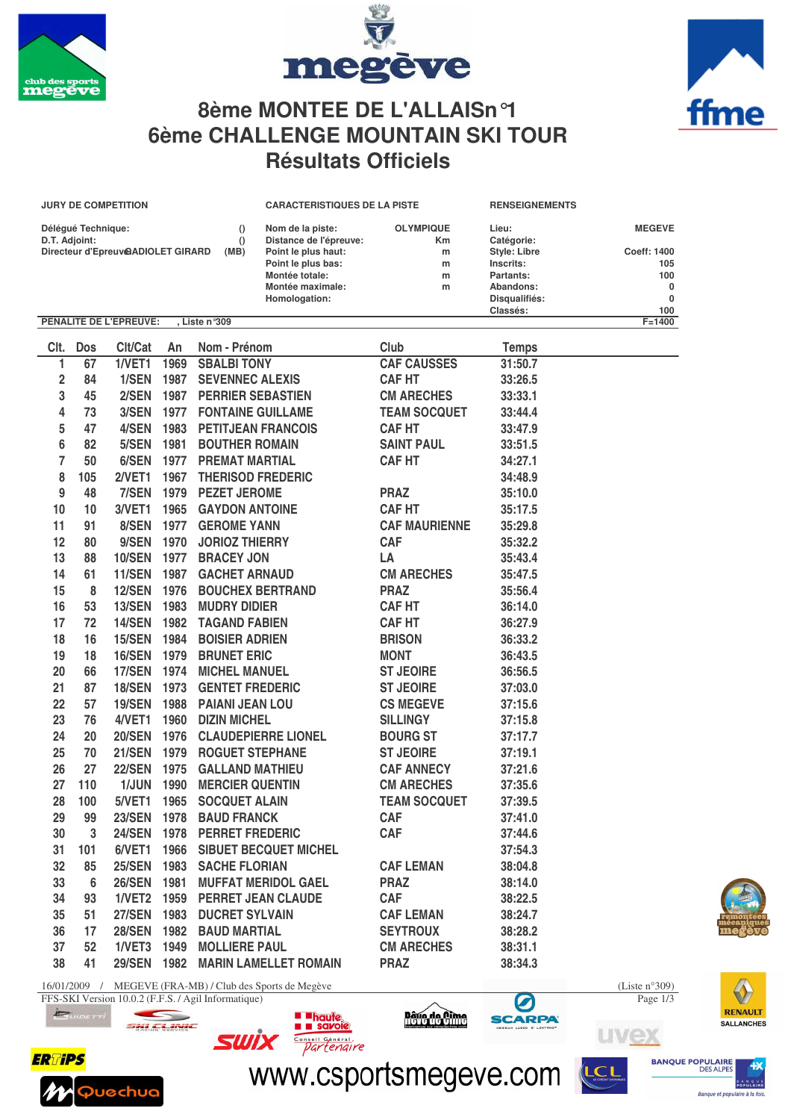





## **8ème MONTEE DE L'ALLAISn°1 6ème CHALLENGE MOUNTAIN SKI TOUR Résultats Officiels**

|                                           |                                                                              | <b>JURY DE COMPETITION</b>    |      |                                            | <b>CARACTERISTIQUES DE LA PISTE</b> |                      | <b>RENSEIGNEMENTS</b>     |               |  |
|-------------------------------------------|------------------------------------------------------------------------------|-------------------------------|------|--------------------------------------------|-------------------------------------|----------------------|---------------------------|---------------|--|
|                                           | Délégué Technique:                                                           |                               |      | $\Omega$                                   | Nom de la piste:                    | <b>OLYMPIQUE</b>     | Lieu:                     | <b>MEGEVE</b> |  |
| D.T. Adjoint:<br>$\Omega$                 |                                                                              |                               |      |                                            | Distance de l'épreuve:              | Km                   | Catégorie:                |               |  |
| Directeur d'Epreuv@ADIOLET GIRARD<br>(MB) |                                                                              |                               |      |                                            | Point le plus haut:                 | m                    | <b>Style: Libre</b>       | Coeff: 1400   |  |
|                                           |                                                                              |                               |      |                                            | Point le plus bas:                  | m                    | Inscrits:                 | 105           |  |
|                                           |                                                                              |                               |      |                                            | Montée totale:                      | m                    | Partants:                 | 100           |  |
|                                           |                                                                              |                               |      |                                            | Montée maximale:                    | m                    | Abandons:                 | 0<br>0        |  |
|                                           |                                                                              |                               |      |                                            | Homologation:                       |                      | Disqualifiés:<br>Classés: | 100           |  |
|                                           |                                                                              | <b>PENALITE DE L'EPREUVE:</b> |      | , Liste n°309                              |                                     |                      |                           | $F = 1400$    |  |
| Clt.                                      | <b>Dos</b>                                                                   | Clt/Cat                       | An   | Nom - Prénom                               |                                     | Club                 | <b>Temps</b>              |               |  |
| 1                                         | 67                                                                           | 1/VET1                        | 1969 | <b>SBALBI TONY</b>                         |                                     | <b>CAF CAUSSES</b>   | 31:50.7                   |               |  |
| 2                                         | 84                                                                           | 1/SEN                         | 1987 | <b>SEVENNEC ALEXIS</b>                     |                                     | <b>CAF HT</b>        | 33:26.5                   |               |  |
|                                           | 45                                                                           | 2/SEN                         | 1987 |                                            |                                     |                      |                           |               |  |
| 3                                         |                                                                              |                               |      | <b>PERRIER SEBASTIEN</b>                   |                                     | <b>CM ARECHES</b>    | 33:33.1                   |               |  |
| 4                                         | 73                                                                           | 3/SEN                         | 1977 | <b>FONTAINE GUILLAME</b>                   |                                     | <b>TEAM SOCQUET</b>  | 33:44.4                   |               |  |
| 5                                         | 47                                                                           | 4/SEN                         | 1983 | <b>PETITJEAN FRANCOIS</b>                  |                                     | <b>CAF HT</b>        | 33:47.9                   |               |  |
| 6                                         | 82                                                                           | 5/SEN                         | 1981 | <b>BOUTHER ROMAIN</b>                      |                                     | <b>SAINT PAUL</b>    | 33:51.5                   |               |  |
| 7                                         | 50                                                                           | 6/SEN                         | 1977 | <b>PREMAT MARTIAL</b>                      |                                     | <b>CAF HT</b>        | 34:27.1                   |               |  |
| 8                                         | 105                                                                          | <b>2/VET1</b>                 | 1967 | <b>THERISOD FREDERIC</b>                   |                                     |                      | 34:48.9                   |               |  |
| 9                                         | 48                                                                           | 7/SEN                         | 1979 | <b>PEZET JEROME</b>                        |                                     | <b>PRAZ</b>          | 35:10.0                   |               |  |
| 10                                        | 10                                                                           | 3/VET1                        | 1965 | <b>GAYDON ANTOINE</b>                      |                                     | <b>CAF HT</b>        | 35:17.5                   |               |  |
| 11                                        | 91                                                                           | 8/SEN                         | 1977 | <b>GEROME YANN</b>                         |                                     | <b>CAF MAURIENNE</b> | 35:29.8                   |               |  |
| 12                                        | 80                                                                           | 9/SEN                         | 1970 |                                            |                                     | <b>CAF</b>           | 35:32.2                   |               |  |
|                                           |                                                                              |                               |      | <b>JORIOZ THIERRY</b><br><b>BRACEY JON</b> |                                     |                      |                           |               |  |
| 13                                        | 88                                                                           | <b>10/SEN</b>                 | 1977 |                                            |                                     | LA                   | 35:43.4                   |               |  |
| 14                                        | 61                                                                           | 11/SEN                        | 1987 | <b>GACHET ARNAUD</b>                       |                                     | <b>CM ARECHES</b>    | 35:47.5                   |               |  |
| 15                                        | 8                                                                            | <b>12/SEN</b>                 | 1976 | <b>BOUCHEX BERTRAND</b>                    |                                     | <b>PRAZ</b>          | 35:56.4                   |               |  |
| 16                                        | 53                                                                           | <b>13/SEN</b>                 | 1983 | <b>MUDRY DIDIER</b>                        |                                     | <b>CAF HT</b>        | 36:14.0                   |               |  |
| 17                                        | 72                                                                           | <b>14/SEN</b>                 | 1982 | <b>TAGAND FABIEN</b>                       |                                     | <b>CAF HT</b>        | 36:27.9                   |               |  |
| 18                                        | 16                                                                           | <b>15/SEN</b>                 | 1984 | <b>BOISIER ADRIEN</b>                      |                                     | <b>BRISON</b>        | 36:33.2                   |               |  |
| 19                                        | 18                                                                           | <b>16/SEN</b>                 | 1979 | <b>BRUNET ERIC</b>                         |                                     | <b>MONT</b>          | 36:43.5                   |               |  |
| 20                                        | 66                                                                           | 17/SEN                        | 1974 | <b>MICHEL MANUEL</b>                       |                                     | <b>ST JEOIRE</b>     | 36:56.5                   |               |  |
| 21                                        | 87                                                                           | 18/SEN                        | 1973 | <b>GENTET FREDERIC</b>                     |                                     | <b>ST JEOIRE</b>     | 37:03.0                   |               |  |
| 22                                        | 57                                                                           | <b>19/SEN</b>                 | 1988 | <b>PAIANI JEAN LOU</b>                     |                                     | <b>CS MEGEVE</b>     | 37:15.6                   |               |  |
| 23                                        | 76                                                                           | 4/VET1                        | 1960 | <b>DIZIN MICHEL</b>                        |                                     | <b>SILLINGY</b>      | 37:15.8                   |               |  |
| 24                                        | 20                                                                           | <b>20/SEN</b>                 | 1976 |                                            | <b>CLAUDEPIERRE LIONEL</b>          | <b>BOURG ST</b>      | 37:17.7                   |               |  |
| 25                                        | 70                                                                           | <b>21/SEN</b>                 | 1979 | <b>ROGUET STEPHANE</b>                     |                                     | <b>ST JEOIRE</b>     | 37:19.1                   |               |  |
| 26                                        | 27                                                                           | <b>22/SEN</b>                 | 1975 | <b>GALLAND MATHIEU</b>                     |                                     | <b>CAF ANNECY</b>    | 37:21.6                   |               |  |
| 27                                        | 110                                                                          | 1/JUN                         | 1990 | <b>MERCIER QUENTIN</b>                     |                                     | <b>CM ARECHES</b>    | 37:35.6                   |               |  |
| 28                                        | 100                                                                          | 5/VET1                        | 1965 | <b>SOCQUET ALAIN</b>                       |                                     | <b>TEAM SOCQUET</b>  | 37:39.5                   |               |  |
| 29                                        | 99                                                                           | <b>23/SEN</b>                 | 1978 | <b>BAUD FRANCK</b>                         |                                     | <b>CAF</b>           | 37:41.0                   |               |  |
| 30                                        | 3                                                                            | 24/SEN                        | 1978 | <b>PERRET FREDERIC</b>                     |                                     | <b>CAF</b>           | 37:44.6                   |               |  |
| 31                                        | 101                                                                          | 6/VET1                        | 1966 |                                            | <b>SIBUET BECQUET MICHEL</b>        |                      | 37:54.3                   |               |  |
| 32                                        | 85                                                                           | <b>25/SEN</b>                 | 1983 | <b>SACHE FLORIAN</b>                       |                                     | <b>CAF LEMAN</b>     | 38:04.8                   |               |  |
| 33                                        | 6                                                                            | <b>26/SEN</b>                 | 1981 |                                            | <b>MUFFAT MERIDOL GAEL</b>          | <b>PRAZ</b>          | 38:14.0                   |               |  |
| 34                                        | 93                                                                           | 1/VET2                        | 1959 |                                            | <b>PERRET JEAN CLAUDE</b>           | <b>CAF</b>           | 38:22.5                   |               |  |
| 35                                        | 51                                                                           | <b>27/SEN</b>                 | 1983 | <b>DUCRET SYLVAIN</b>                      |                                     | <b>CAF LEMAN</b>     | 38:24.7                   |               |  |
| 36                                        | 17                                                                           | <b>28/SEN</b>                 |      | 1982 BAUD MARTIAL                          |                                     | <b>SEYTROUX</b>      | 38:28.2                   |               |  |
| 37                                        | 52                                                                           | 1/VET3                        |      | 1949 MOLLIERE PAUL                         |                                     | <b>CM ARECHES</b>    |                           |               |  |
|                                           |                                                                              |                               | 1982 |                                            |                                     |                      | 38:31.1                   |               |  |
| 38                                        | 41                                                                           | <b>29/SEN</b>                 |      |                                            | <b>MARIN LAMELLET ROMAIN</b>        | <b>PRAZ</b>          | 38:34.3                   |               |  |
|                                           | MEGEVE (FRA-MB) / Club des Sports de Megève<br>16/01/2009 /<br>(Liste n°309) |                               |      |                                            |                                     |                      |                           |               |  |



FFS-SKI Version 10.0.2 (F.F.S. / Agil Informatique) Page 1/3



 $\overline{a}$ 

www.csportsmegeve.com

**Dâve de Dime** 

**SCARPA** 

**u uliquie<br>1 lui savoie** 

 $SWIX$   $\frac{1}{\frac{1}{\sqrt{1}}\frac{1}{\sqrt{1}}\left(\frac{1}{\sqrt{1}}\right)}$ 

**BANQUE POPULAIRE** 

uvex



nque et populaire à la foi

**NQUE**<br>ULAIRE

**SALLANCHES** 

V **RENAULT**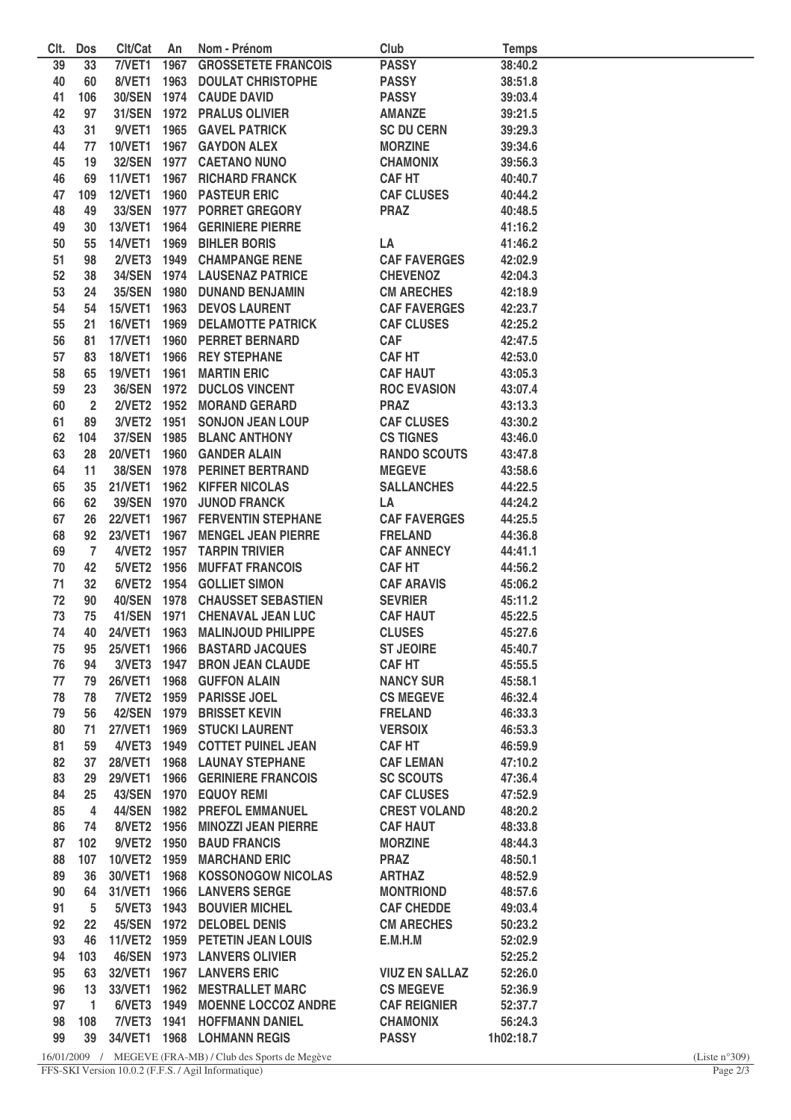| CIt. | <b>Dos</b>     | Clt/Cat        | An   | Nom - Prénom                    | Club                  | <b>Temps</b> |  |
|------|----------------|----------------|------|---------------------------------|-----------------------|--------------|--|
| 39   | 33             | 7/NET1         | 1967 | <b>GROSSETETE FRANCOIS</b>      | <b>PASSY</b>          | 38:40.2      |  |
| 40   | 60             | 8/VET1         |      | <b>1963 DOULAT CHRISTOPHE</b>   | <b>PASSY</b>          | 38:51.8      |  |
| 41   | 106            |                |      | 30/SEN 1974 CAUDE DAVID         | <b>PASSY</b>          | 39:03.4      |  |
| 42   | 97             |                |      | 31/SEN 1972 PRALUS OLIVIER      | <b>AMANZE</b>         | 39:21.5      |  |
| 43   | 31             |                |      | 9/VET1 1965 GAVEL PATRICK       | <b>SC DU CERN</b>     | 39:29.3      |  |
| 44   | 77             |                |      | 10/VET1 1967 GAYDON ALEX        | <b>MORZINE</b>        | 39:34.6      |  |
| 45   | 19             |                |      | 32/SEN 1977 CAETANO NUNO        | <b>CHAMONIX</b>       | 39:56.3      |  |
| 46   | 69             |                |      | 11/VET1 1967 RICHARD FRANCK     | <b>CAF HT</b>         | 40:40.7      |  |
|      |                |                |      |                                 |                       |              |  |
| 47   | 109            |                |      | 12/VET1 1960 PASTEUR ERIC       | <b>CAF CLUSES</b>     | 40:44.2      |  |
| 48   | 49             |                |      | 33/SEN 1977 PORRET GREGORY      | <b>PRAZ</b>           | 40:48.5      |  |
| 49   | 30             |                |      | 13/VET1 1964 GERINIERE PIERRE   |                       | 41:16.2      |  |
| 50   | 55             | <b>14/VET1</b> |      | 1969 BIHLER BORIS               | LA                    | 41:46.2      |  |
| 51   | 98             |                |      | 2/VET3 1949 CHAMPANGE RENE      | <b>CAF FAVERGES</b>   | 42:02.9      |  |
| 52   | 38             |                |      | 34/SEN 1974 LAUSENAZ PATRICE    | <b>CHEVENOZ</b>       | 42:04.3      |  |
| 53   | 24             |                |      | 35/SEN 1980 DUNAND BENJAMIN     | <b>CM ARECHES</b>     | 42:18.9      |  |
| 54   | 54             | <b>15/VET1</b> |      | <b>1963 DEVOS LAURENT</b>       | <b>CAF FAVERGES</b>   | 42:23.7      |  |
| 55   | 21             | <b>16/VET1</b> |      | <b>1969 DELAMOTTE PATRICK</b>   | <b>CAF CLUSES</b>     | 42:25.2      |  |
| 56   | 81             | <b>17/VET1</b> | 1960 | <b>PERRET BERNARD</b>           | <b>CAF</b>            | 42:47.5      |  |
| 57   | 83             | <b>18/VET1</b> | 1966 | <b>REY STEPHANE</b>             | <b>CAF HT</b>         | 42:53.0      |  |
| 58   | 65             | <b>19/VET1</b> | 1961 | <b>MARTIN ERIC</b>              | <b>CAF HAUT</b>       | 43:05.3      |  |
| 59   | 23             | 36/SEN 1972    |      | <b>DUCLOS VINCENT</b>           | <b>ROC EVASION</b>    | 43:07.4      |  |
|      |                |                |      | 2/VET2 1952 MORAND GERARD       | <b>PRAZ</b>           |              |  |
| 60   | $\overline{2}$ |                |      |                                 |                       | 43:13.3      |  |
| 61   | 89             | 3/VET2 1951    |      | <b>SONJON JEAN LOUP</b>         | <b>CAF CLUSES</b>     | 43:30.2      |  |
| 62   | 104            | 37/SEN 1985    |      | <b>BLANC ANTHONY</b>            | <b>CS TIGNES</b>      | 43:46.0      |  |
| 63   | 28             | <b>20/VET1</b> |      | 1960 GANDER ALAIN               | <b>RANDO SCOUTS</b>   | 43:47.8      |  |
| 64   | 11             |                |      | 38/SEN 1978 PERINET BERTRAND    | <b>MEGEVE</b>         | 43:58.6      |  |
| 65   | 35             | <b>21/VET1</b> |      | 1962 KIFFER NICOLAS             | <b>SALLANCHES</b>     | 44:22.5      |  |
| 66   | 62             | 39/SEN 1970    |      | <b>JUNOD FRANCK</b>             | LA                    | 44:24.2      |  |
| 67   | 26             | <b>22/VET1</b> |      | <b>1967 FERVENTIN STEPHANE</b>  | <b>CAF FAVERGES</b>   | 44:25.5      |  |
| 68   | 92             | <b>23/VET1</b> |      | 1967 MENGEL JEAN PIERRE         | <b>FRELAND</b>        | 44:36.8      |  |
| 69   | $\overline{7}$ |                |      | 4/VET2 1957 TARPIN TRIVIER      | <b>CAF ANNECY</b>     | 44:41.1      |  |
| 70   | 42             | 5/VET2 1956    |      | <b>MUFFAT FRANCOIS</b>          | <b>CAFHT</b>          | 44:56.2      |  |
| 71   | 32             |                |      | 6/VET2 1954 GOLLIET SIMON       | <b>CAF ARAVIS</b>     | 45:06.2      |  |
| 72   | 90             |                |      | 40/SEN 1978 CHAUSSET SEBASTIEN  | <b>SEVRIER</b>        | 45:11.2      |  |
| 73   | 75             |                |      | 41/SEN 1971 CHENAVAL JEAN LUC   | <b>CAF HAUT</b>       | 45:22.5      |  |
| 74   | 40             | <b>24/VET1</b> | 1963 | <b>MALINJOUD PHILIPPE</b>       | <b>CLUSES</b>         | 45:27.6      |  |
|      |                |                |      |                                 | <b>ST JEOIRE</b>      |              |  |
| 75   | 95             |                |      | 25/VET1 1966 BASTARD JACQUES    |                       | 45:40.7      |  |
| 76   | 94             |                |      | 3/VET3 1947 BRON JEAN CLAUDE    | <b>CAF HT</b>         | 45:55.5      |  |
| 77   | 79             |                |      | 26/VET1 1968 GUFFON ALAIN       | <b>NANCY SUR</b>      | 45:58.1      |  |
| 78   | 78             |                |      | 7/VET2 1959 PARISSE JOEL        | <b>CS MEGEVE</b>      | 46:32.4      |  |
| 79   | 56             |                |      | 42/SEN 1979 BRISSET KEVIN       | <b>FRELAND</b>        | 46:33.3      |  |
| 80   | 71             | <b>27/VET1</b> |      | <b>1969 STUCKI LAURENT</b>      | <b>VERSOIX</b>        | 46:53.3      |  |
| 81   | 59             |                |      | 4/VET3 1949 COTTET PUINEL JEAN  | <b>CAFHT</b>          | 46:59.9      |  |
| 82   | 37             |                |      | 28/VET1 1968 LAUNAY STEPHANE    | <b>CAF LEMAN</b>      | 47:10.2      |  |
| 83   | 29             |                |      | 29/VET1 1966 GERINIERE FRANCOIS | <b>SC SCOUTS</b>      | 47:36.4      |  |
| 84   | 25             |                |      | 43/SEN 1970 EQUOY REMI          | <b>CAF CLUSES</b>     | 47:52.9      |  |
| 85   | 4              |                |      | 44/SEN 1982 PREFOL EMMANUEL     | <b>CREST VOLAND</b>   | 48:20.2      |  |
| 86   | 74             | 8/VET2 1956    |      | <b>MINOZZI JEAN PIERRE</b>      | <b>CAF HAUT</b>       | 48:33.8      |  |
| 87   | 102            | 9/VET2 1950    |      | <b>BAUD FRANCIS</b>             | <b>MORZINE</b>        | 48:44.3      |  |
| 88   | 107            | 10/VET2 1959   |      | <b>MARCHAND ERIC</b>            | <b>PRAZ</b>           | 48:50.1      |  |
| 89   | 36             | 30/VET1        |      | 1968 KOSSONOGOW NICOLAS         | <b>ARTHAZ</b>         | 48:52.9      |  |
|      |                |                |      |                                 |                       |              |  |
| 90   | 64             | 31/VET1 1966   |      | <b>LANVERS SERGE</b>            | <b>MONTRIOND</b>      | 48:57.6      |  |
| 91   | 5              | 5/VET3 1943    |      | <b>BOUVIER MICHEL</b>           | <b>CAF CHEDDE</b>     | 49:03.4      |  |
| 92   | 22             |                |      | 45/SEN 1972 DELOBEL DENIS       | <b>CM ARECHES</b>     | 50:23.2      |  |
| 93   | 46             |                |      | 11/VET2 1959 PETETIN JEAN LOUIS | E.M.H.M               | 52:02.9      |  |
| 94   | 103            |                |      | 46/SEN 1973 LANVERS OLIVIER     |                       | 52:25.2      |  |
| 95   | 63             | 32/VET1        |      | <b>1967 LANVERS ERIC</b>        | <b>VIUZ EN SALLAZ</b> | 52:26.0      |  |
| 96   | 13             | 33/VET1        |      | <b>1962 MESTRALLET MARC</b>     | <b>CS MEGEVE</b>      | 52:36.9      |  |
| 97   | 1              |                |      | 6/VET3 1949 MOENNE LOCCOZ ANDRE | <b>CAF REIGNIER</b>   | 52:37.7      |  |
| 98   | 108            |                |      | 7/VET3 1941 HOFFMANN DANIEL     | <b>CHAMONIX</b>       | 56:24.3      |  |
| 99   | 39             |                |      | 34/VET1 1968 LOHMANN REGIS      | <b>PASSY</b>          | 1h02:18.7    |  |
|      |                |                |      |                                 |                       |              |  |

16/01/2009 / MEGEVE (FRA-MB) / Club des Sports de Megève (Liste n°309)